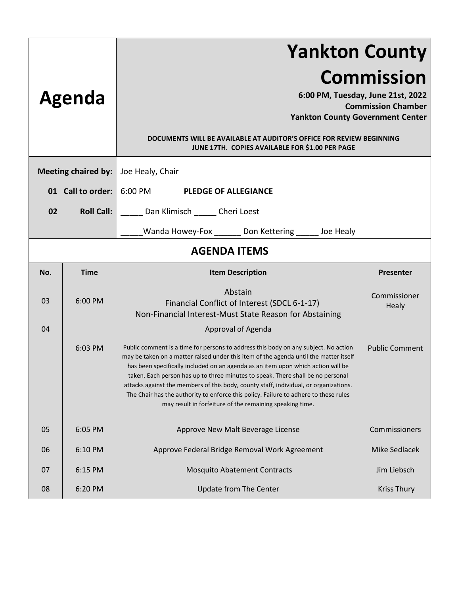|                                                      |                   | <b>Yankton County</b>                                                                                                                                                                                                                                                                                                                                                                                                                                                                                                                                                                            |                       |  |
|------------------------------------------------------|-------------------|--------------------------------------------------------------------------------------------------------------------------------------------------------------------------------------------------------------------------------------------------------------------------------------------------------------------------------------------------------------------------------------------------------------------------------------------------------------------------------------------------------------------------------------------------------------------------------------------------|-----------------------|--|
| Agenda                                               |                   | <b>Commission</b><br>6:00 PM, Tuesday, June 21st, 2022<br><b>Commission Chamber</b><br><b>Yankton County Government Center</b><br>DOCUMENTS WILL BE AVAILABLE AT AUDITOR'S OFFICE FOR REVIEW BEGINNING<br>JUNE 17TH. COPIES AVAILABLE FOR \$1.00 PER PAGE                                                                                                                                                                                                                                                                                                                                        |                       |  |
| <b>Meeting chaired by:</b>                           |                   | Joe Healy, Chair                                                                                                                                                                                                                                                                                                                                                                                                                                                                                                                                                                                 |                       |  |
| 01 Call to order:                                    |                   | 6:00 PM<br><b>PLEDGE OF ALLEGIANCE</b>                                                                                                                                                                                                                                                                                                                                                                                                                                                                                                                                                           |                       |  |
| 02                                                   | <b>Roll Call:</b> |                                                                                                                                                                                                                                                                                                                                                                                                                                                                                                                                                                                                  |                       |  |
|                                                      |                   | Dan Klimisch ______ Cheri Loest                                                                                                                                                                                                                                                                                                                                                                                                                                                                                                                                                                  |                       |  |
| Wanda Howey-Fox ______ Don Kettering _____ Joe Healy |                   |                                                                                                                                                                                                                                                                                                                                                                                                                                                                                                                                                                                                  |                       |  |
| <b>AGENDA ITEMS</b>                                  |                   |                                                                                                                                                                                                                                                                                                                                                                                                                                                                                                                                                                                                  |                       |  |
| No.                                                  | <b>Time</b>       | <b>Item Description</b>                                                                                                                                                                                                                                                                                                                                                                                                                                                                                                                                                                          | <b>Presenter</b>      |  |
| 03                                                   | 6:00 PM           | Abstain<br>Financial Conflict of Interest (SDCL 6-1-17)<br>Non-Financial Interest-Must State Reason for Abstaining                                                                                                                                                                                                                                                                                                                                                                                                                                                                               | Commissioner<br>Healy |  |
| 04                                                   |                   | Approval of Agenda                                                                                                                                                                                                                                                                                                                                                                                                                                                                                                                                                                               |                       |  |
|                                                      | 6:03 PM           | Public comment is a time for persons to address this body on any subject. No action<br>may be taken on a matter raised under this item of the agenda until the matter itself<br>has been specifically included on an agenda as an item upon which action will be<br>taken. Each person has up to three minutes to speak. There shall be no personal<br>attacks against the members of this body, county staff, individual, or organizations.<br>The Chair has the authority to enforce this policy. Failure to adhere to these rules<br>may result in forfeiture of the remaining speaking time. | <b>Public Comment</b> |  |
| 05                                                   | 6:05 PM           | Approve New Malt Beverage License                                                                                                                                                                                                                                                                                                                                                                                                                                                                                                                                                                | Commissioners         |  |
| 06                                                   | 6:10 PM           | Approve Federal Bridge Removal Work Agreement                                                                                                                                                                                                                                                                                                                                                                                                                                                                                                                                                    | <b>Mike Sedlacek</b>  |  |
| 07                                                   | 6:15 PM           | <b>Mosquito Abatement Contracts</b>                                                                                                                                                                                                                                                                                                                                                                                                                                                                                                                                                              | Jim Liebsch           |  |
| 08                                                   | 6:20 PM           | <b>Update from The Center</b>                                                                                                                                                                                                                                                                                                                                                                                                                                                                                                                                                                    | <b>Kriss Thury</b>    |  |